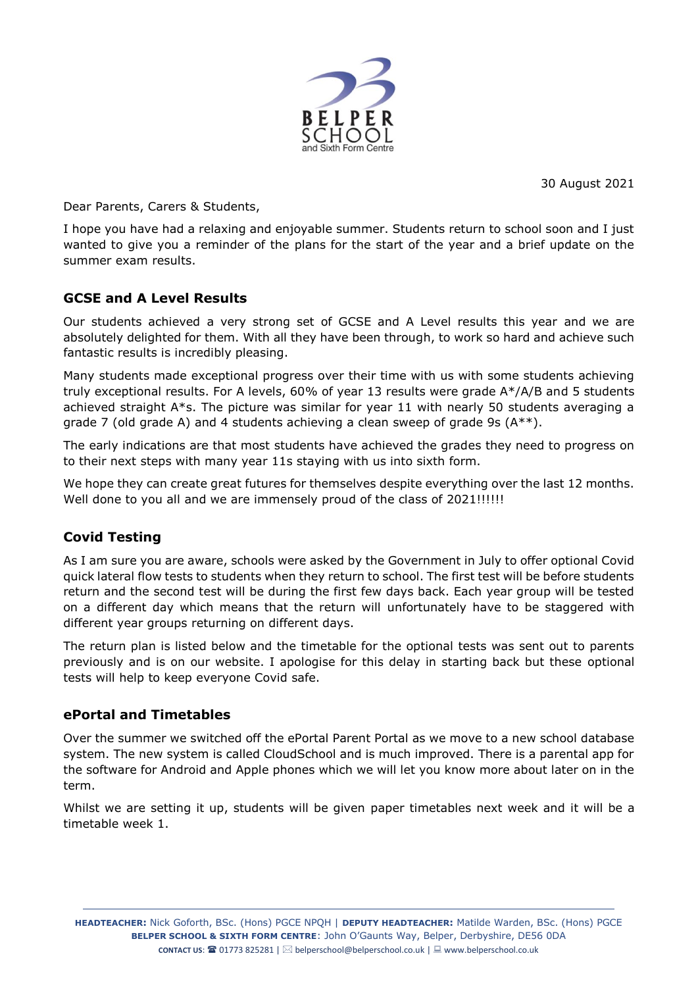

30 August 2021

Dear Parents, Carers & Students,

I hope you have had a relaxing and enjoyable summer. Students return to school soon and I just wanted to give you a reminder of the plans for the start of the year and a brief update on the summer exam results.

# **GCSE and A Level Results**

Our students achieved a very strong set of GCSE and A Level results this year and we are absolutely delighted for them. With all they have been through, to work so hard and achieve such fantastic results is incredibly pleasing.

Many students made exceptional progress over their time with us with some students achieving truly exceptional results. For A levels, 60% of year 13 results were grade A\*/A/B and 5 students achieved straight  $A^*s$ . The picture was similar for year 11 with nearly 50 students averaging a grade 7 (old grade A) and 4 students achieving a clean sweep of grade 9s (A\*\*).

The early indications are that most students have achieved the grades they need to progress on to their next steps with many year 11s staying with us into sixth form.

We hope they can create great futures for themselves despite everything over the last 12 months. Well done to you all and we are immensely proud of the class of 2021!!!!!!

# **Covid Testing**

As I am sure you are aware, schools were asked by the Government in July to offer optional Covid quick lateral flow tests to students when they return to school. The first test will be before students return and the second test will be during the first few days back. Each year group will be tested on a different day which means that the return will unfortunately have to be staggered with different year groups returning on different days.

The return plan is listed below and the timetable for the optional tests was sent out to parents previously and is on our website. I apologise for this delay in starting back but these optional tests will help to keep everyone Covid safe.

# **ePortal and Timetables**

Over the summer we switched off the ePortal Parent Portal as we move to a new school database system. The new system is called CloudSchool and is much improved. There is a parental app for the software for Android and Apple phones which we will let you know more about later on in the term.

Whilst we are setting it up, students will be given paper timetables next week and it will be a timetable week 1.

**HEADTEACHER:** Nick Goforth, BSc. (Hons) PGCE NPQH | **DEPUTY HEADTEACHER:** Matilde Warden, BSc. (Hons) PGCE **BELPER SCHOOL & SIXTH FORM CENTRE**: John O'Gaunts Way, Belper, Derbyshire, DE56 0DA **CONTACT US: <sup>22</sup> 01773 825281** | ⊠ [belperschool@belperschool.co.uk](mailto:elperschool@belperschool.co.uk) | ■ [www.belperschool.co.uk](http://www.belperschool.co.uk/)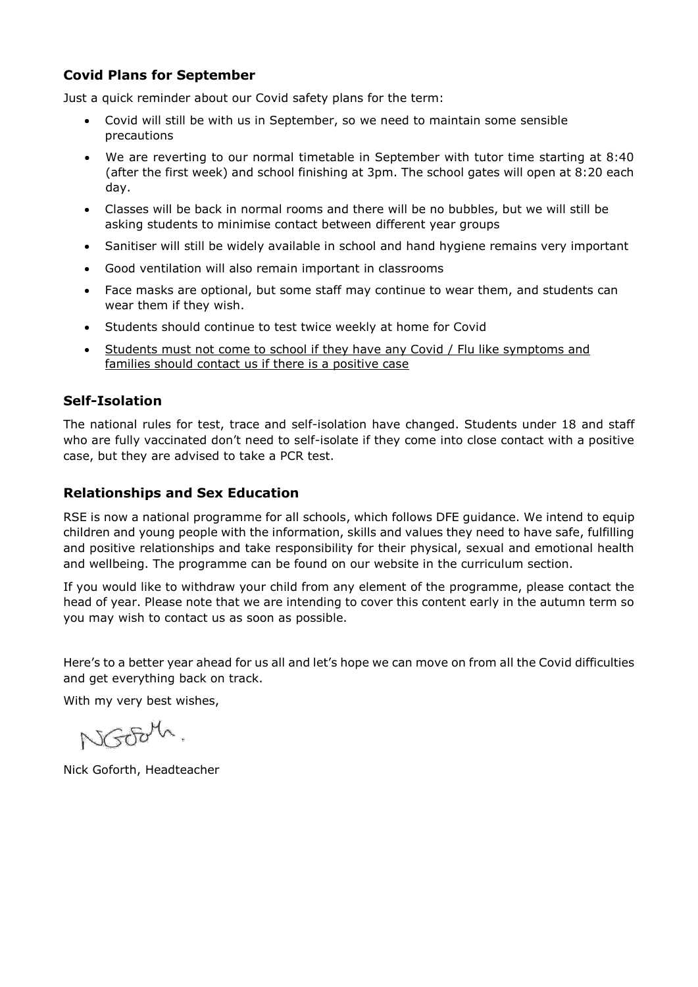# **Covid Plans for September**

Just a quick reminder about our Covid safety plans for the term:

- Covid will still be with us in September, so we need to maintain some sensible precautions
- We are reverting to our normal timetable in September with tutor time starting at 8:40 (after the first week) and school finishing at 3pm. The school gates will open at 8:20 each day.
- Classes will be back in normal rooms and there will be no bubbles, but we will still be asking students to minimise contact between different year groups
- Sanitiser will still be widely available in school and hand hygiene remains very important
- Good ventilation will also remain important in classrooms
- Face masks are optional, but some staff may continue to wear them, and students can wear them if they wish.
- Students should continue to test twice weekly at home for Covid
- Students must not come to school if they have any Covid / Flu like symptoms and families should contact us if there is a positive case

# **Self-Isolation**

The national rules for test, trace and self-isolation have changed. Students under 18 and staff who are fully vaccinated don't need to self-isolate if they come into close contact with a positive case, but they are advised to take a PCR test.

#### **Relationships and Sex Education**

RSE is now a national programme for all schools, which follows DFE guidance. We intend to equip children and young people with the information, skills and values they need to have safe, fulfilling and positive relationships and take responsibility for their physical, sexual and emotional health and wellbeing. The programme can be found on our website in the curriculum section.

If you would like to withdraw your child from any element of the programme, please contact the head of year. Please note that we are intending to cover this content early in the autumn term so you may wish to contact us as soon as possible.

Here's to a better year ahead for us all and let's hope we can move on from all the Covid difficulties and get everything back on track.

With my very best wishes,

NGOOM

Nick Goforth, Headteacher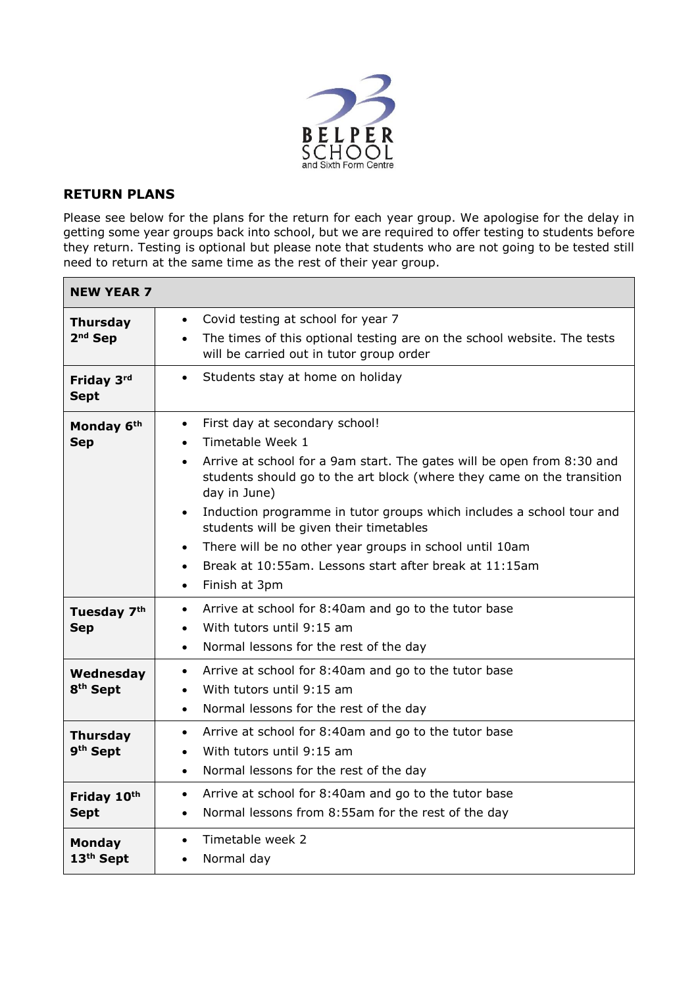

### **RETURN PLANS**

Please see below for the plans for the return for each year group. We apologise for the delay in getting some year groups back into school, but we are required to offer testing to students before they return. Testing is optional but please note that students who are not going to be tested still need to return at the same time as the rest of their year group.

| <b>NEW YEAR 7</b>                       |                                                                                                                                                                                                                                                                                                                                                                                                                                                                                                                                                                            |
|-----------------------------------------|----------------------------------------------------------------------------------------------------------------------------------------------------------------------------------------------------------------------------------------------------------------------------------------------------------------------------------------------------------------------------------------------------------------------------------------------------------------------------------------------------------------------------------------------------------------------------|
| <b>Thursday</b><br>$2nd$ Sep            | Covid testing at school for year 7<br>$\bullet$<br>The times of this optional testing are on the school website. The tests<br>$\bullet$<br>will be carried out in tutor group order                                                                                                                                                                                                                                                                                                                                                                                        |
| Friday 3rd<br><b>Sept</b>               | Students stay at home on holiday<br>$\bullet$                                                                                                                                                                                                                                                                                                                                                                                                                                                                                                                              |
| Monday 6th<br><b>Sep</b>                | First day at secondary school!<br>$\bullet$<br>Timetable Week 1<br>$\bullet$<br>Arrive at school for a 9am start. The gates will be open from 8:30 and<br>$\bullet$<br>students should go to the art block (where they came on the transition<br>day in June)<br>Induction programme in tutor groups which includes a school tour and<br>$\bullet$<br>students will be given their timetables<br>There will be no other year groups in school until 10am<br>$\bullet$<br>Break at 10:55am. Lessons start after break at 11:15am<br>$\bullet$<br>Finish at 3pm<br>$\bullet$ |
| Tuesday 7 <sup>th</sup><br><b>Sep</b>   | Arrive at school for 8:40am and go to the tutor base<br>$\bullet$<br>With tutors until 9:15 am<br>$\bullet$<br>Normal lessons for the rest of the day<br>$\bullet$                                                                                                                                                                                                                                                                                                                                                                                                         |
| Wednesday<br>8 <sup>th</sup> Sept       | Arrive at school for 8:40am and go to the tutor base<br>$\bullet$<br>With tutors until 9:15 am<br>$\bullet$<br>Normal lessons for the rest of the day<br>$\bullet$                                                                                                                                                                                                                                                                                                                                                                                                         |
| <b>Thursday</b><br>9 <sup>th</sup> Sept | Arrive at school for 8:40am and go to the tutor base<br>$\bullet$<br>With tutors until 9:15 am<br>$\bullet$<br>Normal lessons for the rest of the day<br>$\bullet$                                                                                                                                                                                                                                                                                                                                                                                                         |
| Friday 10th<br><b>Sept</b>              | Arrive at school for 8:40am and go to the tutor base<br>$\bullet$<br>Normal lessons from 8:55am for the rest of the day<br>$\bullet$                                                                                                                                                                                                                                                                                                                                                                                                                                       |
| <b>Monday</b><br>13 <sup>th</sup> Sept  | Timetable week 2<br>$\bullet$<br>Normal day<br>$\bullet$                                                                                                                                                                                                                                                                                                                                                                                                                                                                                                                   |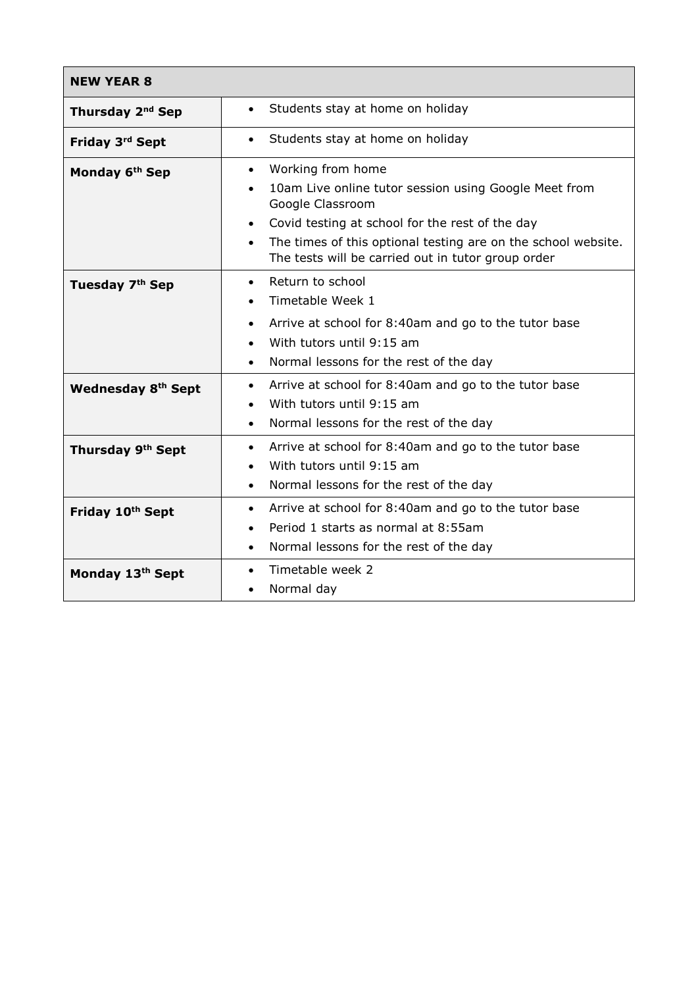| <b>NEW YEAR 8</b>            |                                                                                                                                                                                                                                                                                                                              |
|------------------------------|------------------------------------------------------------------------------------------------------------------------------------------------------------------------------------------------------------------------------------------------------------------------------------------------------------------------------|
| Thursday 2 <sup>nd</sup> Sep | Students stay at home on holiday<br>$\bullet$                                                                                                                                                                                                                                                                                |
| Friday 3rd Sept              | Students stay at home on holiday<br>$\bullet$                                                                                                                                                                                                                                                                                |
| Monday 6 <sup>th</sup> Sep   | Working from home<br>$\bullet$<br>10am Live online tutor session using Google Meet from<br>$\bullet$<br>Google Classroom<br>Covid testing at school for the rest of the day<br>$\bullet$<br>The times of this optional testing are on the school website.<br>$\bullet$<br>The tests will be carried out in tutor group order |
| Tuesday 7th Sep              | Return to school<br>$\bullet$<br>Timetable Week 1<br>$\bullet$<br>Arrive at school for 8:40am and go to the tutor base<br>$\bullet$<br>With tutors until 9:15 am<br>$\bullet$<br>Normal lessons for the rest of the day<br>$\bullet$                                                                                         |
| <b>Wednesday 8th Sept</b>    | Arrive at school for 8:40am and go to the tutor base<br>$\bullet$<br>With tutors until 9:15 am<br>$\bullet$<br>Normal lessons for the rest of the day<br>$\bullet$                                                                                                                                                           |
| Thursday 9th Sept            | Arrive at school for 8:40am and go to the tutor base<br>$\bullet$<br>With tutors until 9:15 am<br>$\bullet$<br>Normal lessons for the rest of the day<br>$\bullet$                                                                                                                                                           |
| Friday 10th Sept             | Arrive at school for 8:40am and go to the tutor base<br>$\bullet$<br>Period 1 starts as normal at 8:55am<br>$\bullet$<br>Normal lessons for the rest of the day<br>$\bullet$                                                                                                                                                 |
| Monday 13th Sept             | Timetable week 2<br>$\bullet$<br>Normal day<br>$\bullet$                                                                                                                                                                                                                                                                     |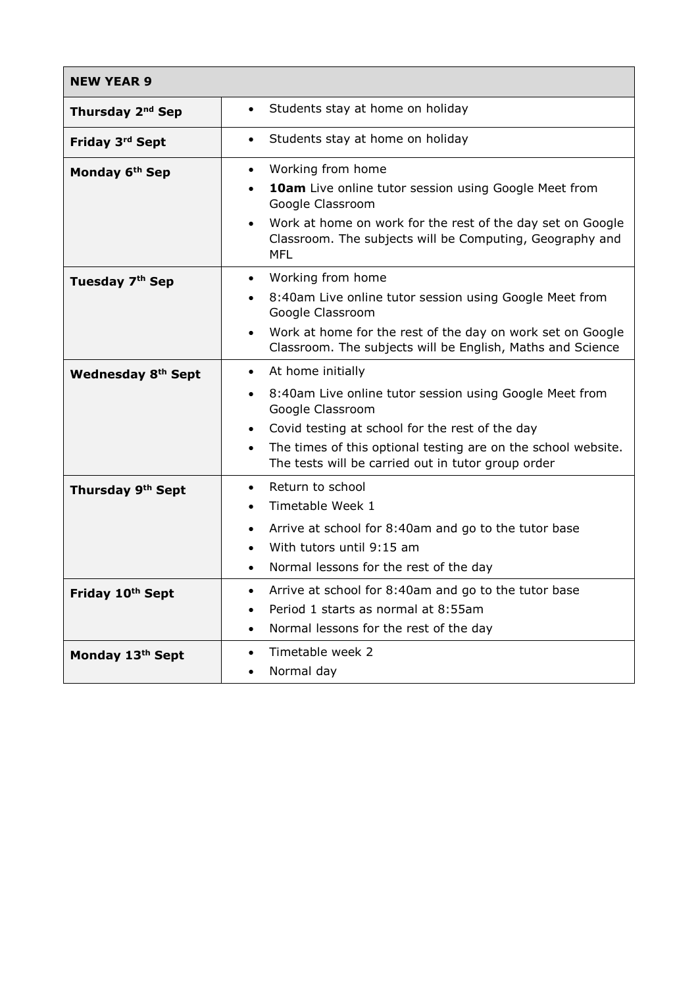| <b>NEW YEAR 9</b>            |                                                                                                                                                                                                                                                                     |
|------------------------------|---------------------------------------------------------------------------------------------------------------------------------------------------------------------------------------------------------------------------------------------------------------------|
| Thursday 2 <sup>nd</sup> Sep | Students stay at home on holiday<br>$\bullet$                                                                                                                                                                                                                       |
| Friday 3rd Sept              | Students stay at home on holiday<br>$\bullet$                                                                                                                                                                                                                       |
| Monday 6 <sup>th</sup> Sep   | Working from home<br>$\bullet$<br>10am Live online tutor session using Google Meet from<br>$\bullet$<br>Google Classroom                                                                                                                                            |
|                              | Work at home on work for the rest of the day set on Google<br>$\bullet$<br>Classroom. The subjects will be Computing, Geography and<br><b>MFL</b>                                                                                                                   |
| Tuesday 7th Sep              | Working from home<br>$\bullet$<br>8:40am Live online tutor session using Google Meet from<br>$\bullet$<br>Google Classroom<br>Work at home for the rest of the day on work set on Google<br>$\bullet$<br>Classroom. The subjects will be English, Maths and Science |
| <b>Wednesday 8th Sept</b>    | At home initially<br>$\bullet$<br>8:40am Live online tutor session using Google Meet from<br>$\bullet$<br>Google Classroom<br>Covid testing at school for the rest of the day<br>$\bullet$                                                                          |
| Thursday 9th Sept            | The times of this optional testing are on the school website.<br>$\bullet$<br>The tests will be carried out in tutor group order<br>Return to school<br>$\bullet$<br>Timetable Week 1<br>$\bullet$                                                                  |
|                              | Arrive at school for 8:40am and go to the tutor base<br>$\bullet$<br>With tutors until 9:15 am<br>$\bullet$<br>Normal lessons for the rest of the day<br>$\bullet$                                                                                                  |
| Friday 10th Sept             | Arrive at school for 8:40am and go to the tutor base<br>$\bullet$<br>Period 1 starts as normal at 8:55am<br>$\bullet$<br>Normal lessons for the rest of the day<br>$\bullet$                                                                                        |
| Monday 13th Sept             | Timetable week 2<br>$\bullet$<br>Normal day<br>$\bullet$                                                                                                                                                                                                            |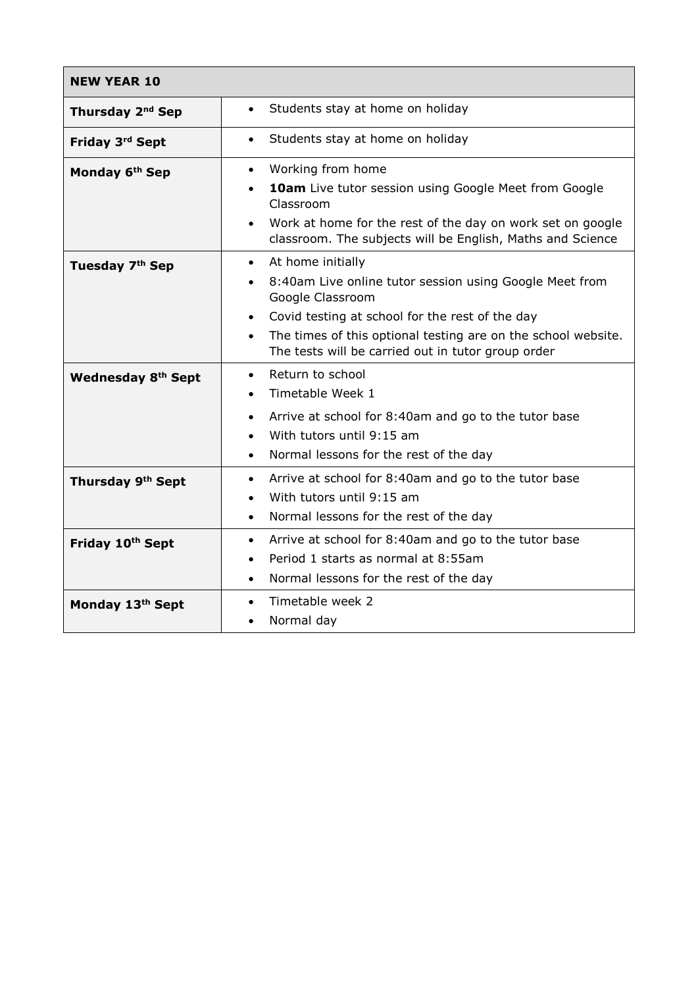| <b>NEW YEAR 10</b>            |                                                                                                                                       |
|-------------------------------|---------------------------------------------------------------------------------------------------------------------------------------|
| Thursday 2 <sup>nd</sup> Sep  | Students stay at home on holiday<br>$\bullet$                                                                                         |
| Friday 3rd Sept               | Students stay at home on holiday<br>$\bullet$                                                                                         |
| Monday 6 <sup>th</sup> Sep    | Working from home<br>$\bullet$                                                                                                        |
|                               | 10am Live tutor session using Google Meet from Google<br>$\bullet$<br>Classroom                                                       |
|                               | Work at home for the rest of the day on work set on google<br>$\bullet$<br>classroom. The subjects will be English, Maths and Science |
| Tuesday 7 <sup>th</sup> Sep   | At home initially<br>$\bullet$                                                                                                        |
|                               | 8:40am Live online tutor session using Google Meet from<br>$\bullet$<br>Google Classroom                                              |
|                               | Covid testing at school for the rest of the day<br>$\bullet$                                                                          |
|                               | The times of this optional testing are on the school website.<br>$\bullet$<br>The tests will be carried out in tutor group order      |
| <b>Wednesday 8th Sept</b>     | Return to school<br>$\bullet$                                                                                                         |
|                               | Timetable Week 1<br>$\bullet$                                                                                                         |
|                               | Arrive at school for 8:40am and go to the tutor base<br>$\bullet$                                                                     |
|                               | With tutors until 9:15 am<br>$\bullet$                                                                                                |
|                               | Normal lessons for the rest of the day<br>$\bullet$                                                                                   |
| Thursday 9 <sup>th</sup> Sept | Arrive at school for 8:40am and go to the tutor base<br>$\bullet$                                                                     |
|                               | With tutors until 9:15 am<br>$\bullet$                                                                                                |
|                               | Normal lessons for the rest of the day<br>$\bullet$                                                                                   |
| Friday 10th Sept              | Arrive at school for 8:40am and go to the tutor base<br>$\bullet$                                                                     |
|                               | Period 1 starts as normal at 8:55am<br>$\bullet$                                                                                      |
|                               | Normal lessons for the rest of the day<br>$\bullet$                                                                                   |
| Monday 13th Sept              | Timetable week 2<br>$\bullet$                                                                                                         |
|                               | Normal day<br>$\bullet$                                                                                                               |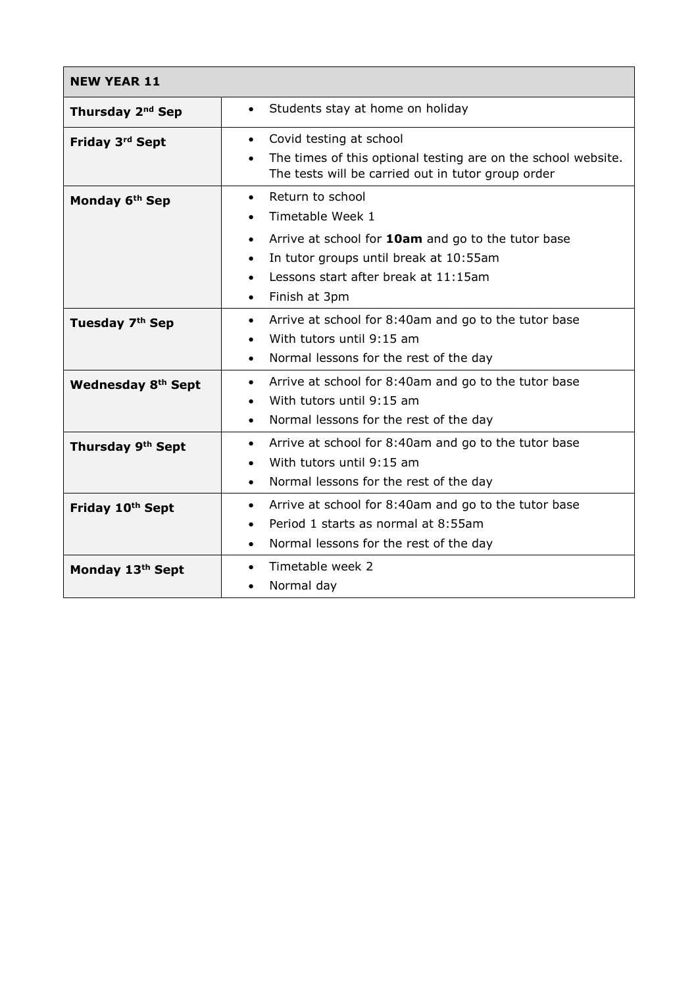| <b>NEW YEAR 11</b>           |                                                                                                                                  |
|------------------------------|----------------------------------------------------------------------------------------------------------------------------------|
| Thursday 2 <sup>nd</sup> Sep | Students stay at home on holiday<br>$\bullet$                                                                                    |
| Friday 3rd Sept              | Covid testing at school<br>$\bullet$                                                                                             |
|                              | The times of this optional testing are on the school website.<br>$\bullet$<br>The tests will be carried out in tutor group order |
| Monday 6th Sep               | Return to school<br>$\bullet$                                                                                                    |
|                              | Timetable Week 1<br>$\bullet$                                                                                                    |
|                              | Arrive at school for 10am and go to the tutor base<br>$\bullet$                                                                  |
|                              | In tutor groups until break at 10:55am<br>$\bullet$                                                                              |
|                              | Lessons start after break at 11:15am<br>$\bullet$                                                                                |
|                              | Finish at 3pm<br>$\bullet$                                                                                                       |
| Tuesday 7 <sup>th</sup> Sep  | Arrive at school for 8:40am and go to the tutor base<br>$\bullet$                                                                |
|                              | With tutors until 9:15 am<br>$\bullet$                                                                                           |
|                              | Normal lessons for the rest of the day<br>$\bullet$                                                                              |
| <b>Wednesday 8th Sept</b>    | Arrive at school for 8:40am and go to the tutor base<br>$\bullet$                                                                |
|                              | With tutors until 9:15 am<br>$\bullet$                                                                                           |
|                              | Normal lessons for the rest of the day<br>$\bullet$                                                                              |
| Thursday 9th Sept            | Arrive at school for 8:40am and go to the tutor base<br>$\bullet$                                                                |
|                              | With tutors until 9:15 am<br>$\bullet$                                                                                           |
|                              | Normal lessons for the rest of the day<br>$\bullet$                                                                              |
| Friday 10th Sept             | Arrive at school for 8:40am and go to the tutor base<br>$\bullet$                                                                |
|                              | Period 1 starts as normal at 8:55am<br>$\bullet$                                                                                 |
|                              | Normal lessons for the rest of the day<br>$\bullet$                                                                              |
| Monday 13th Sept             | Timetable week 2<br>$\bullet$                                                                                                    |
|                              | Normal day<br>$\bullet$                                                                                                          |